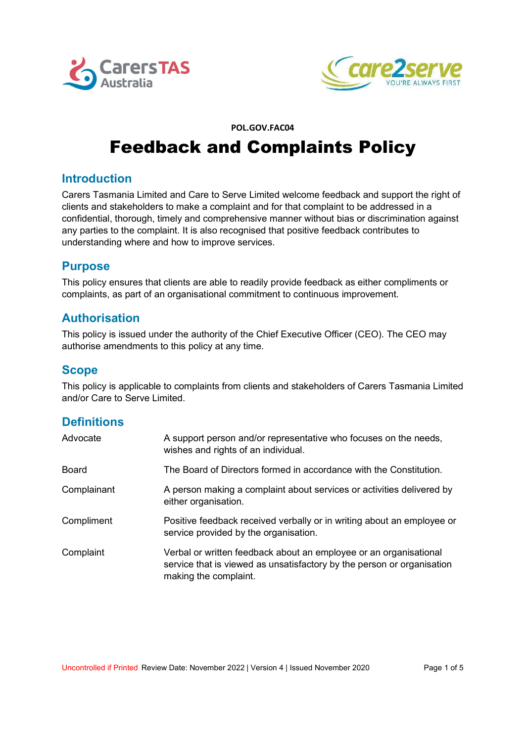



POL.GOV.FAC04

# Feedback and Complaints Policy

### Introduction

Carers Tasmania Limited and Care to Serve Limited welcome feedback and support the right of clients and stakeholders to make a complaint and for that complaint to be addressed in a confidential, thorough, timely and comprehensive manner without bias or discrimination against any parties to the complaint. It is also recognised that positive feedback contributes to understanding where and how to improve services.

### Purpose

This policy ensures that clients are able to readily provide feedback as either compliments or complaints, as part of an organisational commitment to continuous improvement.

# Authorisation

This policy is issued under the authority of the Chief Executive Officer (CEO). The CEO may authorise amendments to this policy at any time.

### Scope

This policy is applicable to complaints from clients and stakeholders of Carers Tasmania Limited and/or Care to Serve Limited.

# **Definitions**

| Advocate     | A support person and/or representative who focuses on the needs,<br>wishes and rights of an individual.                                                              |
|--------------|----------------------------------------------------------------------------------------------------------------------------------------------------------------------|
| <b>Board</b> | The Board of Directors formed in accordance with the Constitution.                                                                                                   |
| Complainant  | A person making a complaint about services or activities delivered by<br>either organisation.                                                                        |
| Compliment   | Positive feedback received verbally or in writing about an employee or<br>service provided by the organisation.                                                      |
| Complaint    | Verbal or written feedback about an employee or an organisational<br>service that is viewed as unsatisfactory by the person or organisation<br>making the complaint. |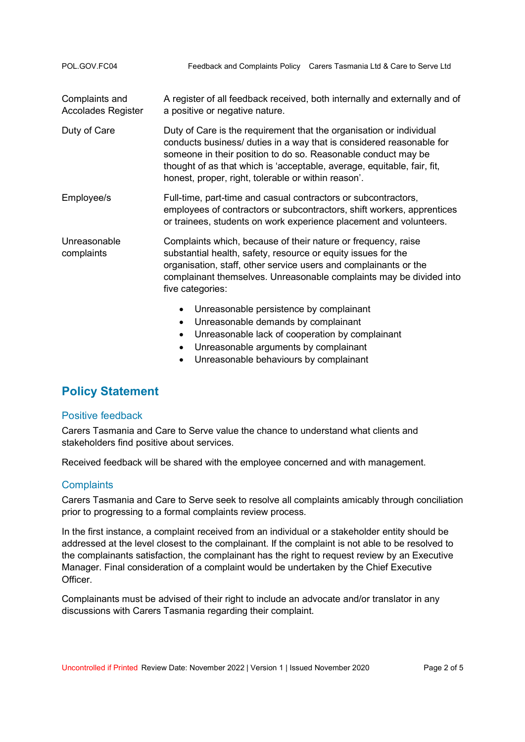| POL.GOV.FC04                                | Feedback and Complaints Policy Carers Tasmania Ltd & Care to Serve Ltd                                                                                                                                                                                                                                                                         |  |
|---------------------------------------------|------------------------------------------------------------------------------------------------------------------------------------------------------------------------------------------------------------------------------------------------------------------------------------------------------------------------------------------------|--|
| Complaints and<br><b>Accolades Register</b> | A register of all feedback received, both internally and externally and of<br>a positive or negative nature.                                                                                                                                                                                                                                   |  |
| Duty of Care                                | Duty of Care is the requirement that the organisation or individual<br>conducts business/ duties in a way that is considered reasonable for<br>someone in their position to do so. Reasonable conduct may be<br>thought of as that which is 'acceptable, average, equitable, fair, fit,<br>honest, proper, right, tolerable or within reason'. |  |
| Employee/s                                  | Full-time, part-time and casual contractors or subcontractors,<br>employees of contractors or subcontractors, shift workers, apprentices<br>or trainees, students on work experience placement and volunteers.                                                                                                                                 |  |
| Unreasonable<br>complaints                  | Complaints which, because of their nature or frequency, raise<br>substantial health, safety, resource or equity issues for the<br>organisation, staff, other service users and complainants or the<br>complainant themselves. Unreasonable complaints may be divided into<br>five categories:                                                  |  |
|                                             | Unreasonable persistence by complainant<br>$\bullet$<br>Unreasonable demands by complainant<br>$\bullet$<br>Unreasonable lack of cooperation by complainant<br>$\bullet$<br>Unreasonable arguments by complainant<br>$\bullet$<br>Unreasonable behaviours by complainant<br>$\bullet$                                                          |  |

# Policy Statement

### Positive feedback

Carers Tasmania and Care to Serve value the chance to understand what clients and stakeholders find positive about services.

Received feedback will be shared with the employee concerned and with management.

#### **Complaints**

Carers Tasmania and Care to Serve seek to resolve all complaints amicably through conciliation prior to progressing to a formal complaints review process.

In the first instance, a complaint received from an individual or a stakeholder entity should be addressed at the level closest to the complainant. If the complaint is not able to be resolved to the complainants satisfaction, the complainant has the right to request review by an Executive Manager. Final consideration of a complaint would be undertaken by the Chief Executive Officer.

Complainants must be advised of their right to include an advocate and/or translator in any discussions with Carers Tasmania regarding their complaint.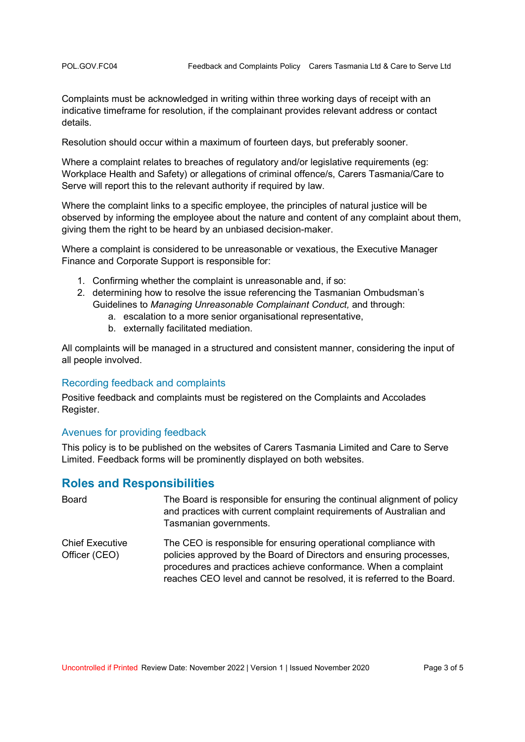Complaints must be acknowledged in writing within three working days of receipt with an indicative timeframe for resolution, if the complainant provides relevant address or contact details.

Resolution should occur within a maximum of fourteen days, but preferably sooner.

Where a complaint relates to breaches of regulatory and/or legislative requirements (eg: Workplace Health and Safety) or allegations of criminal offence/s, Carers Tasmania/Care to Serve will report this to the relevant authority if required by law.

Where the complaint links to a specific employee, the principles of natural justice will be observed by informing the employee about the nature and content of any complaint about them, giving them the right to be heard by an unbiased decision-maker.

Where a complaint is considered to be unreasonable or vexatious, the Executive Manager Finance and Corporate Support is responsible for:

- 1. Confirming whether the complaint is unreasonable and, if so:
- 2. determining how to resolve the issue referencing the Tasmanian Ombudsman's Guidelines to Managing Unreasonable Complainant Conduct, and through:
	- a. escalation to a more senior organisational representative,
	- b. externally facilitated mediation.

All complaints will be managed in a structured and consistent manner, considering the input of all people involved.

#### Recording feedback and complaints

Positive feedback and complaints must be registered on the Complaints and Accolades Register.

#### Avenues for providing feedback

This policy is to be published on the websites of Carers Tasmania Limited and Care to Serve Limited. Feedback forms will be prominently displayed on both websites.

### Roles and Responsibilities

| <b>Board</b>                            | The Board is responsible for ensuring the continual alignment of policy<br>and practices with current complaint requirements of Australian and<br>Tasmanian governments.                                                                                                           |
|-----------------------------------------|------------------------------------------------------------------------------------------------------------------------------------------------------------------------------------------------------------------------------------------------------------------------------------|
| <b>Chief Executive</b><br>Officer (CEO) | The CEO is responsible for ensuring operational compliance with<br>policies approved by the Board of Directors and ensuring processes,<br>procedures and practices achieve conformance. When a complaint<br>reaches CEO level and cannot be resolved, it is referred to the Board. |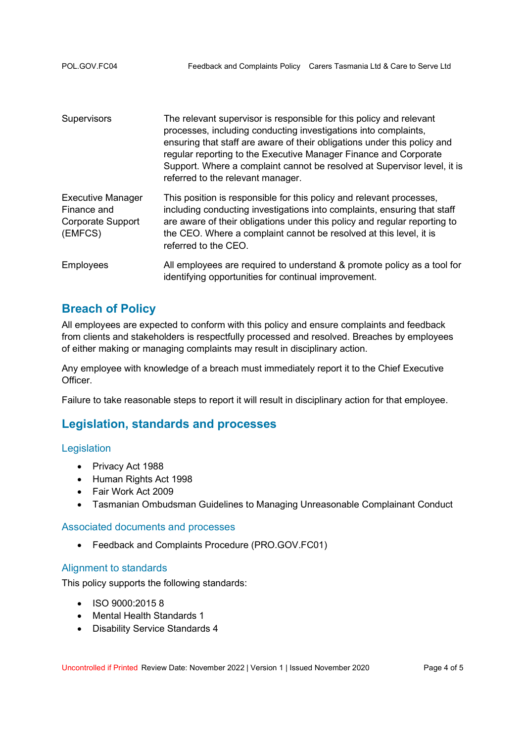| <b>Supervisors</b>                                                             | The relevant supervisor is responsible for this policy and relevant<br>processes, including conducting investigations into complaints,<br>ensuring that staff are aware of their obligations under this policy and<br>regular reporting to the Executive Manager Finance and Corporate<br>Support. Where a complaint cannot be resolved at Supervisor level, it is<br>referred to the relevant manager. |
|--------------------------------------------------------------------------------|---------------------------------------------------------------------------------------------------------------------------------------------------------------------------------------------------------------------------------------------------------------------------------------------------------------------------------------------------------------------------------------------------------|
| <b>Executive Manager</b><br>Finance and<br><b>Corporate Support</b><br>(EMFCS) | This position is responsible for this policy and relevant processes,<br>including conducting investigations into complaints, ensuring that staff<br>are aware of their obligations under this policy and regular reporting to<br>the CEO. Where a complaint cannot be resolved at this level, it is<br>referred to the CEO.                                                                             |
| <b>Employees</b>                                                               | All employees are required to understand & promote policy as a tool for<br>identifying opportunities for continual improvement.                                                                                                                                                                                                                                                                         |

# Breach of Policy

All employees are expected to conform with this policy and ensure complaints and feedback from clients and stakeholders is respectfully processed and resolved. Breaches by employees of either making or managing complaints may result in disciplinary action.

Any employee with knowledge of a breach must immediately report it to the Chief Executive Officer.

Failure to take reasonable steps to report it will result in disciplinary action for that employee.

# Legislation, standards and processes

#### Legislation

- Privacy Act 1988
- Human Rights Act 1998
- Fair Work Act 2009
- Tasmanian Ombudsman Guidelines to Managing Unreasonable Complainant Conduct

#### Associated documents and processes

Feedback and Complaints Procedure (PRO.GOV.FC01)

#### Alignment to standards

This policy supports the following standards:

- $\bullet$  ISO 9000:2015 8
- Mental Health Standards 1
- Disability Service Standards 4